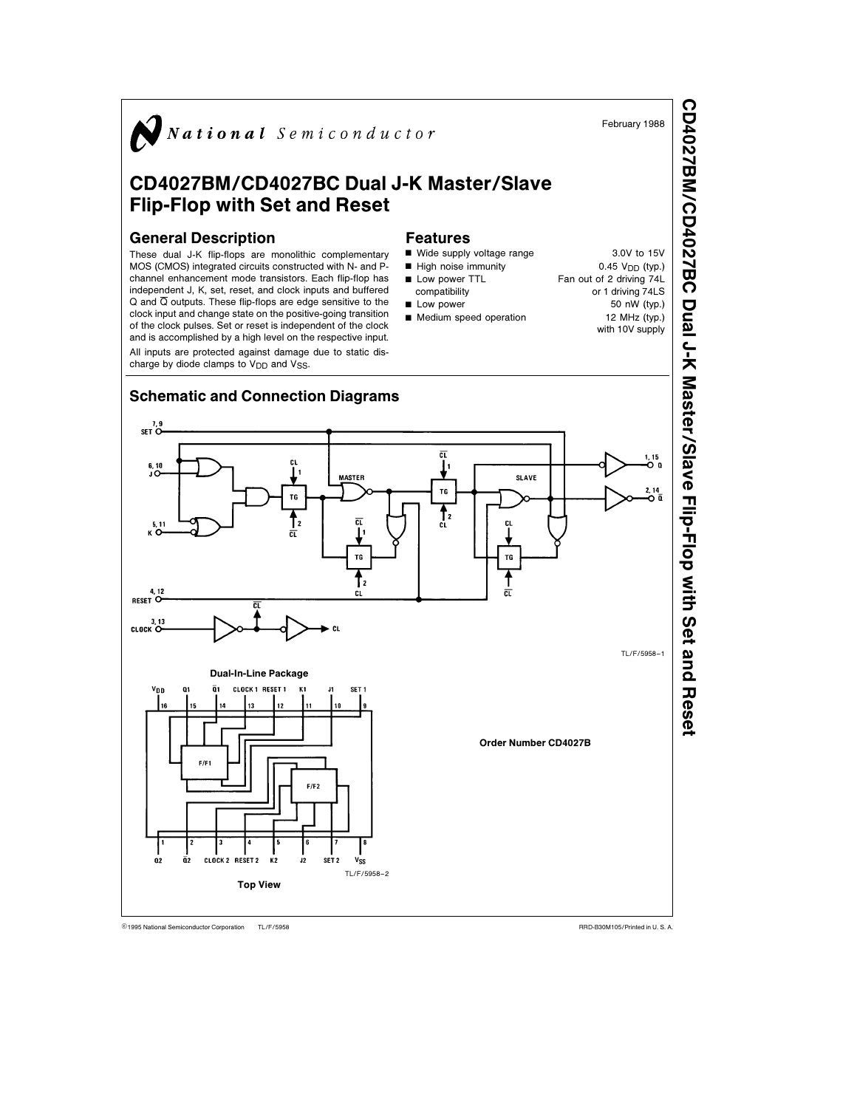

CD4027BM/CD4027BC Dual J-K Master/SlaveFlip-Flop with Set and Reset

TL/F/5958 C1995 National Semiconductor Corporation TL/F/5958 National Semiconductor Corporation RRD-B30M105/Printed in U. S. A.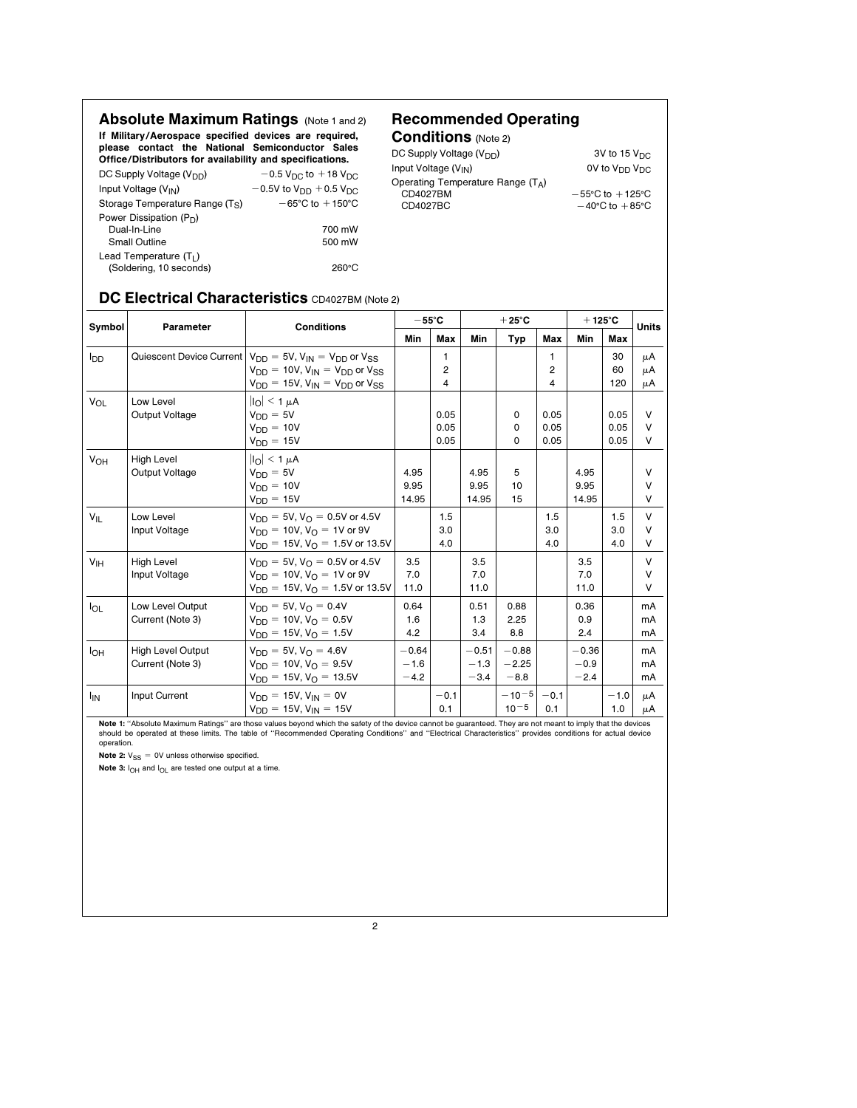Absolute Maximum Ratings (Note 1 and 2) If Military/Aerospace specified devices are required, please contact the National Semiconductor Sales Office/Distributors for availability and specifications.

#### DC Supply Voltage (V<sub>DD</sub>)  $-0.5$  V<sub>DC</sub> to  $+18$  V<sub>DC</sub><br>Input Voltage (V<sub>IN</sub>)  $-0.5$ V to V<sub>DD</sub>  $+0.5$  V<sub>DC</sub>  $-0.5V$  to  $V_{DD}$  + 0.5  $V_{DC}$ <br>-65°C to +150°C Storage Temperature Range (T<sub>S</sub>) Power Dissipation (P<sub>D</sub>) Dual-In-Line 700 mW Small Outline 500 mW Lead Temperature (TL) (Soldering, 10 seconds) 260°C

# Recommended Operating

Conditions (Note 2) DC Supply Voltage  $(V_{DD})$ <br>
1973 1980 1190 1190 3V to 15 V<sub>DC</sub><br>
3V to 15 V<sub>DC</sub> Input Voltage  $(V_{IN})$ Operating Temperature Range  $(T_A)$ <br>CD4027BM CD4027BM  $-55°C$  to  $+125°C$ <br>CD4027BC  $-40°C$  to  $+85°C$  $-40^{\circ}$ C to  $+85^{\circ}$ C

### DC Electrical Characteristics CD4027BM (Note 2)

| Symbol                | Parameter                                    | <b>Conditions</b>                                                                                                                                                          | $-55^{\circ}$ C             |                      | $+25^{\circ}$ C             |                              |                      | $+125^{\circ}$ C            |                      | <b>Units</b>               |  |
|-----------------------|----------------------------------------------|----------------------------------------------------------------------------------------------------------------------------------------------------------------------------|-----------------------------|----------------------|-----------------------------|------------------------------|----------------------|-----------------------------|----------------------|----------------------------|--|
|                       |                                              |                                                                                                                                                                            | Min                         | Max                  | Min                         | Typ                          | Max                  | Min                         | Max                  |                            |  |
| lpp                   |                                              | Quiescent Device Current $V_{DD} = 5V$ , $V_{IN} = V_{DD}$ or $V_{SS}$<br>$V_{DD} = 10V$ , $V_{IN} = V_{DD}$ or $V_{SS}$<br>$V_{DD} = 15V$ , $V_{IN} = V_{DD}$ or $V_{SS}$ |                             | 1<br>2<br>4          |                             |                              | 1<br>2<br>4          |                             | 30<br>60<br>120      | μA<br>μA<br>μA             |  |
| <b>V<sub>OL</sub></b> | Low Level<br>Output Voltage                  | $\vert I_{\Omega}\vert$ < 1 $\mu$ A<br>$V_{DD} = 5V$<br>$V_{DD} = 10V$<br>$VDD = 15V$                                                                                      |                             | 0.05<br>0.05<br>0.05 |                             | 0<br>0<br>0                  | 0.05<br>0.05<br>0.05 |                             | 0.05<br>0.05<br>0.05 | $\vee$<br>V<br>V           |  |
| VOH                   | <b>High Level</b><br>Output Voltage          | $\vert I_{\Omega}\vert < 1 \mu A$<br>$V_{DD} = 5V$<br>$V_{DD} = 10V$<br>$V_{DD} = 15V$                                                                                     | 4.95<br>9.95<br>14.95       |                      | 4.95<br>9.95<br>14.95       | 5<br>10<br>15                |                      | 4.95<br>9.95<br>14.95       |                      | V<br>V<br>V                |  |
| $V_{IL}$              | Low Level<br>Input Voltage                   | $V_{DD} = 5V$ , $V_{\Omega} = 0.5V$ or 4.5V<br>$V_{DD} = 10V$ , $V_{O} = 1V$ or 9V<br>$V_{DD} = 15V$ , $V_{O} = 1.5V$ or 13.5V                                             |                             | 1.5<br>3.0<br>4.0    |                             |                              | 1.5<br>3.0<br>4.0    |                             | 1.5<br>3.0<br>4.0    | $\vee$<br>$\vee$<br>$\vee$ |  |
| V <sub>IH</sub>       | <b>High Level</b><br>Input Voltage           | $V_{DD} = 5V$ , $V_{\Omega} = 0.5V$ or 4.5V<br>$V_{DD} = 10V$ , $V_{O} = 1V$ or 9V<br>$V_{DD} = 15V$ , $V_{O} = 1.5V$ or 13.5V                                             | 3.5<br>7.0<br>11.0          |                      | 3.5<br>7.0<br>11.0          |                              |                      | 3.5<br>7.0<br>11.0          |                      | $\vee$<br>$\vee$<br>$\vee$ |  |
| $I_{OL}$              | Low Level Output<br>Current (Note 3)         | $V_{DD} = 5V$ , $V_{\Omega} = 0.4V$<br>$V_{DD} = 10V$ , $V_{\Omega} = 0.5V$<br>$V_{DD} = 15V$ , $V_{O} = 1.5V$                                                             | 0.64<br>1.6<br>4.2          |                      | 0.51<br>1.3<br>3.4          | 0.88<br>2.25<br>8.8          |                      | 0.36<br>0.9<br>2.4          |                      | mA<br>mA<br>mA             |  |
| I <sub>OH</sub>       | <b>High Level Output</b><br>Current (Note 3) | $V_{DD} = 5V$ , $V_{O} = 4.6V$<br>$V_{DD} = 10V$ , $V_{\Omega} = 9.5V$<br>$V_{DD} = 15V$ , $V_{O} = 13.5V$                                                                 | $-0.64$<br>$-1.6$<br>$-4.2$ |                      | $-0.51$<br>$-1.3$<br>$-3.4$ | $-0.88$<br>$-2.25$<br>$-8.8$ |                      | $-0.36$<br>$-0.9$<br>$-2.4$ |                      | mA<br>mA<br>mA             |  |
| <b>I<sub>IN</sub></b> | Input Current                                | $V_{DD} = 15V$ , $V_{IN} = 0V$<br>$V_{DD} = 15V$ , $V_{IN} = 15V$                                                                                                          |                             | $-0.1$<br>0.1        |                             | $-10^{-5}$<br>$10 - 5$       | $-0.1$<br>0.1        |                             | $-1.0$<br>1.0        | μA<br>μA                   |  |

Note 1: ''Absolute Maximum Ratings'' are those values beyond which the safety of the device cannot be guaranteed. They are not meant to imply that the devices should be operated at these limits. The table of ''Recommended Operating Conditions'' and ''Electrical Characteristics'' provides conditions for actual device operation.

Note 2:  $V_{SS} = 0V$  unless otherwise specified.

Note 3:  $I_{OH}$  and  $I_{OL}$  are tested one output at a time.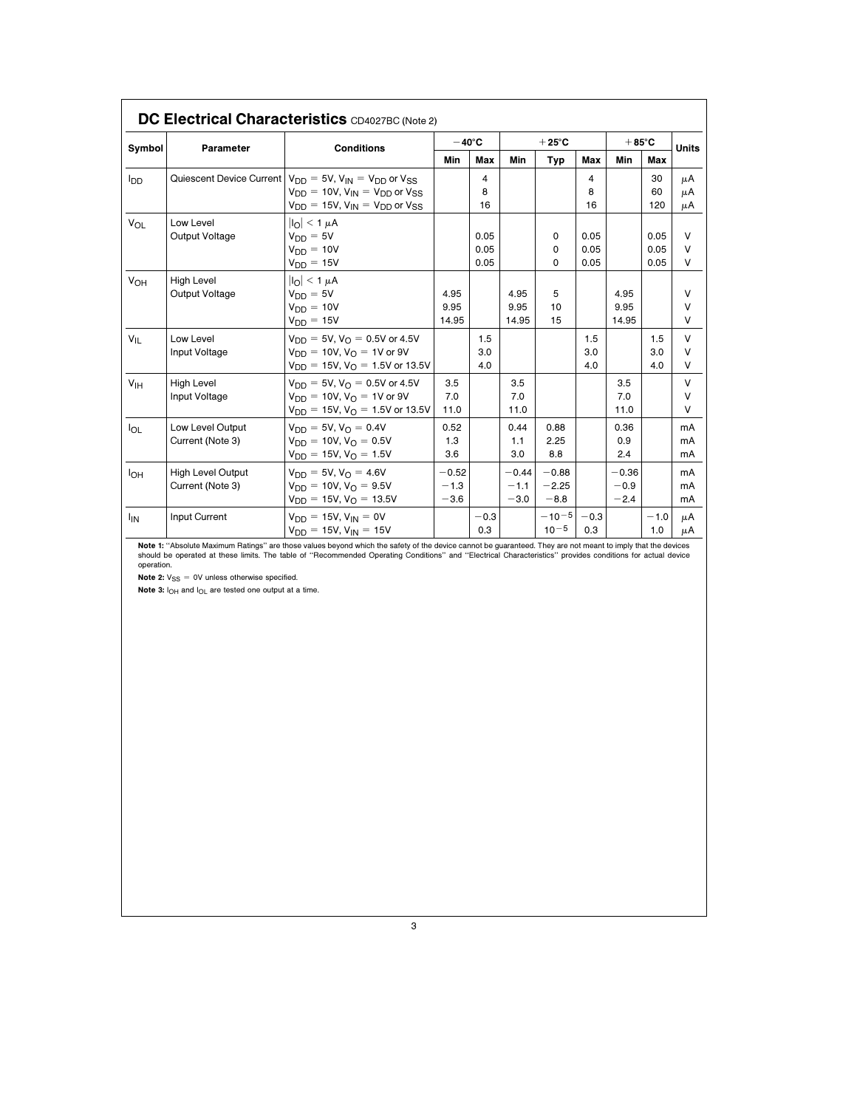| DC Electrical Characteristics CD4027BC (Note 2) |                                              |                                                                                                                                                                            |                             |                      |                             |                              |                      |                             |                      |                       |
|-------------------------------------------------|----------------------------------------------|----------------------------------------------------------------------------------------------------------------------------------------------------------------------------|-----------------------------|----------------------|-----------------------------|------------------------------|----------------------|-----------------------------|----------------------|-----------------------|
| Symbol                                          | Parameter                                    | <b>Conditions</b>                                                                                                                                                          | $-40^{\circ}$ C             |                      | $+25^{\circ}$ C             |                              |                      | $+85^{\circ}$ C             |                      | <b>Units</b>          |
|                                                 |                                              |                                                                                                                                                                            | Min                         | Max                  | Min                         | <b>Typ</b>                   | Max                  | Min                         | Max                  |                       |
| סמי                                             |                                              | Quiescent Device Current $V_{DD} = 5V$ , $V_{IN} = V_{DD}$ or $V_{SS}$<br>$V_{DD} = 10V$ , $V_{IN} = V_{DD}$ or $V_{SS}$<br>$V_{DD} = 15V$ , $V_{IN} = V_{DD}$ or $V_{SS}$ |                             | 4<br>8<br>16         |                             |                              | 4<br>8<br>16         |                             | 30<br>60<br>120      | μA<br>μA<br>μA        |
| V <sub>OL</sub>                                 | Low Level<br>Output Voltage                  | $ I_{\Omega}  \leq 1 \mu A$<br>$V_{DD} = 5V$<br>$V_{DD} = 10V$<br>$V_{DD} = 15V$                                                                                           |                             | 0.05<br>0.05<br>0.05 |                             | 0<br>0<br>0                  | 0.05<br>0.05<br>0.05 |                             | 0.05<br>0.05<br>0.05 | V<br>$\vee$<br>V      |
| V <sub>OH</sub>                                 | <b>High Level</b><br>Output Voltage          | $ I_{\Omega}  < 1 \mu A$<br>$V_{DD} = 5V$<br>$V_{DD} = 10V$<br>$V_{DD} = 15V$                                                                                              | 4.95<br>9.95<br>14.95       |                      | 4.95<br>9.95<br>14.95       | 5<br>10<br>15                |                      | 4.95<br>9.95<br>14.95       |                      | $\vee$<br>V<br>V      |
| $V_{IL}$                                        | Low Level<br>Input Voltage                   | $V_{DD} = 5V$ , $V_{O} = 0.5V$ or 4.5V<br>$V_{DD} = 10V$ , $V_{\Omega} = 1V$ or 9V<br>$V_{\text{DD}} = 15V$ , $V_{\text{O}} = 1.5V$ or 13.5V                               |                             | 1.5<br>3.0<br>4.0    |                             |                              | 1.5<br>3.0<br>4.0    |                             | 1.5<br>3.0<br>4.0    | V<br>$\vee$<br>V      |
| V <sub>IH</sub>                                 | <b>High Level</b><br>Input Voltage           | $V_{DD} = 5V$ , $V_{\Omega} = 0.5V$ or 4.5V<br>$V_{DD} = 10V$ , $V_{\Omega} = 1V$ or 9V<br>$V_{\text{DD}} = 15V$ , $V_{\text{O}} = 1.5V$ or 13.5V                          | 3.5<br>7.0<br>11.0          |                      | 3.5<br>7.0<br>11.0          |                              |                      | 3.5<br>7.0<br>11.0          |                      | V<br>$\vee$<br>$\vee$ |
| loL                                             | Low Level Output<br>Current (Note 3)         | $V_{DD} = 5V$ , $V_{\Omega} = 0.4V$<br>$V_{DD} = 10V$ , $V_{\Omega} = 0.5V$<br>$V_{DD} = 15V$ , $V_{O} = 1.5V$                                                             | 0.52<br>1.3<br>3.6          |                      | 0.44<br>1.1<br>3.0          | 0.88<br>2.25<br>8.8          |                      | 0.36<br>0.9<br>2.4          |                      | mA<br>mA<br>mA        |
| I <sub>OH</sub>                                 | <b>High Level Output</b><br>Current (Note 3) | $V_{DD} = 5V, V_{O} = 4.6V$<br>$V_{DD} = 10V$ , $V_{\Omega} = 9.5V$<br>$V_{DD} = 15V$ , $V_{\Omega} = 13.5V$                                                               | $-0.52$<br>$-1.3$<br>$-3.6$ |                      | $-0.44$<br>$-1.1$<br>$-3.0$ | $-0.88$<br>$-2.25$<br>$-8.8$ |                      | $-0.36$<br>$-0.9$<br>$-2.4$ |                      | mA<br>mA<br>mA        |
| <b>I<sub>IN</sub></b>                           | Input Current                                | $V_{DD} = 15V$ , $V_{IN} = 0V$<br>$V_{DD} = 15V$ , $V_{IN} = 15V$                                                                                                          |                             | $-0.3$<br>0.3        |                             | $-10^{-5}$<br>$10^{-5}$      | $-0.3$<br>0.3        |                             | $-1.0$<br>1.0        | μA<br>μA              |

**Note 1:** "Absolute Maximum Ratings" are those values beyond which the safety of the device cannot be guaranteed. They are not meant to imply that the devices<br>should be operated at these limits. The table of ''Recommended

Note 2:  $V_{SS} = 0V$  unless otherwise specified.

Note 3:  $I_{OH}$  and  $I_{OL}$  are tested one output at a time.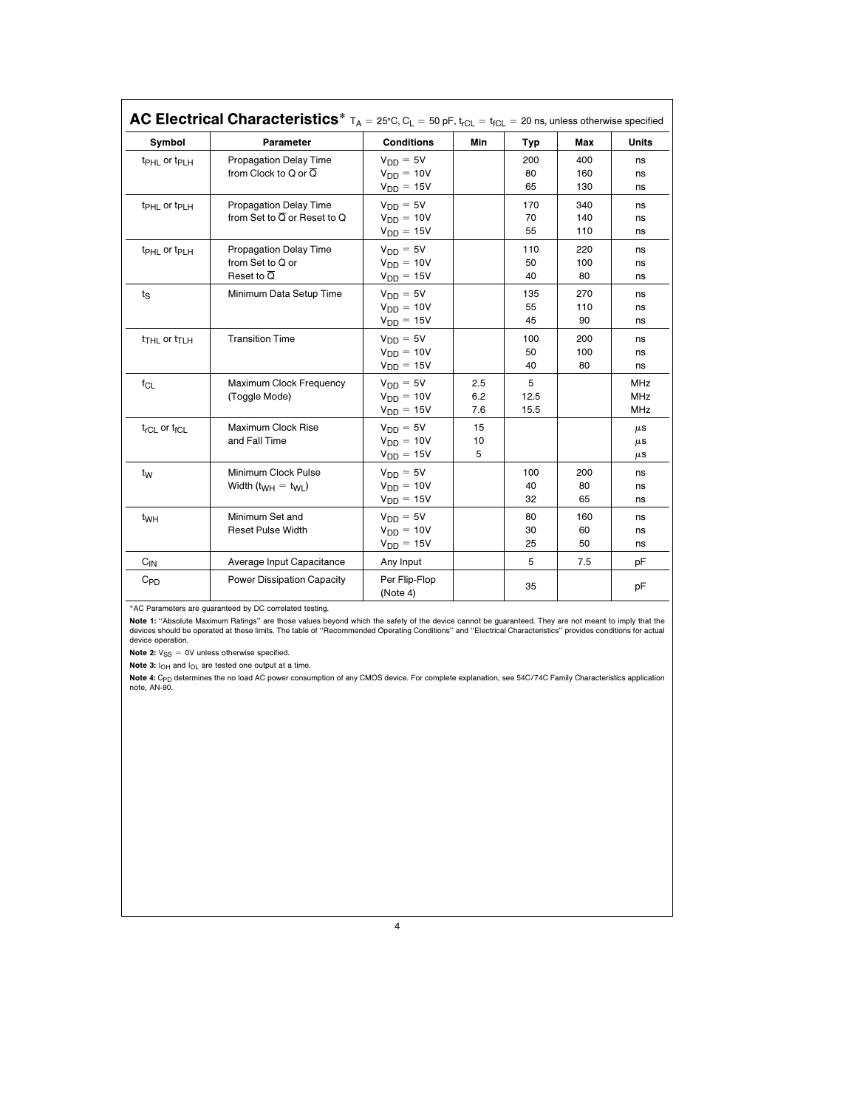| Symbol                               | Parameter                                | <b>Conditions</b>         | Min | Typ  | Max | <b>Units</b> |
|--------------------------------------|------------------------------------------|---------------------------|-----|------|-----|--------------|
| $tpHL$ or $tpLH$                     | <b>Propagation Delay Time</b>            | $V_{DD} = 5V$             |     | 200  | 400 | ns           |
|                                      | from Clock to Q or $\overline{Q}$        | $V_{DD} = 10V$            |     | 80   | 160 | ns           |
|                                      |                                          | $V_{DD} = 15V$            |     | 65   | 130 | ns           |
| t <sub>PHL</sub> or t <sub>PLH</sub> | <b>Propagation Delay Time</b>            | $V_{DD} = 5V$             |     | 170  | 340 | ns           |
|                                      | from Set to $\overline{Q}$ or Reset to Q | $V_{DD} = 10V$            |     | 70   | 140 | ns           |
|                                      |                                          | $V_{DD} = 15V$            |     | 55   | 110 | ns           |
| t <sub>PHL</sub> or t <sub>PLH</sub> | <b>Propagation Delay Time</b>            | $V_{DD} = 5V$             |     | 110  | 220 | ns           |
|                                      | from Set to Q or                         | $V_{DD} = 10V$            |     | 50   | 100 | ns           |
|                                      | Reset to $\overline{Q}$                  | $V_{DD} = 15V$            |     | 40   | 80  | ns           |
| $t_{\rm S}$                          | Minimum Data Setup Time                  | $V_{DD} = 5V$             |     | 135  | 270 | ns           |
|                                      |                                          | $V_{DD} = 10V$            |     | 55   | 110 | ns           |
|                                      |                                          | $V_{DD} = 15V$            |     | 45   | 90  | ns           |
| t <sub>THL</sub> or t <sub>TLH</sub> | <b>Transition Time</b>                   | $V_{DD} = 5V$             |     | 100  | 200 | ns           |
|                                      |                                          | $V_{DD} = 10V$            |     | 50   | 100 | ns           |
|                                      |                                          | $V_{DD} = 15V$            |     | 40   | 80  | ns           |
| $f_{CL}$                             | Maximum Clock Frequency                  | $V_{DD} = 5V$             | 2.5 | 5    |     | MHz          |
|                                      | (Toggle Mode)                            | $V_{DD} = 10V$            | 6.2 | 12.5 |     | <b>MHz</b>   |
|                                      |                                          | $V_{DD} = 15V$            | 7.6 | 15.5 |     | MHz          |
| $t_{rCL}$ or $t_{fCL}$               | Maximum Clock Rise                       | $V_{DD} = 5V$             | 15  |      |     | $\mu$ S      |
|                                      | and Fall Time                            | $V_{DD} = 10V$            | 10  |      |     | $\mu$ S      |
|                                      |                                          | $V_{DD} = 15V$            | 5   |      |     | $\mu$ S      |
| t <sub>w</sub>                       | Minimum Clock Pulse                      | $V_{DD} = 5V$             |     | 100  | 200 | ns           |
|                                      | Width $(t_{WH} = t_{WL})$                | $V_{DD} = 10V$            |     | 40   | 80  | ns           |
|                                      |                                          | $V_{DD} = 15V$            |     | 32   | 65  | ns           |
| t <sub>WH</sub>                      | Minimum Set and                          | $V_{DD} = 5V$             |     | 80   | 160 | ns           |
|                                      | <b>Reset Pulse Width</b>                 | $V_{DD} = 10V$            |     | 30   | 60  | ns           |
|                                      |                                          | $V_{DD} = 15V$            |     | 25   | 50  | ns           |
| $C_{IN}$                             | Average Input Capacitance                | Any Input                 |     | 5    | 7.5 | pF           |
| $C_{PD}$                             | Power Dissipation Capacity               | Per Flip-Flop<br>(Note 4) |     | 35   |     | pF           |

\*AC Parameters are guaranteed by DC correlated testing.

Note 1: "Absolute Maximum Ratings" are those values beyond which the safety of the device cannot be guaranteed. They are not meant to imply that the devices should be operated at these limits. The table of ''Recommended Operating Conditions'' and ''Electrical Characteristics'' provides conditions for actual device operation.

**Note 2:**  $V_{SS} = 0V$  unless otherwise specified.

Note 3:  $I_{OH}$  and  $I_{OL}$  are tested one output at a time.

**Note 4:** C<sub>PD</sub> determines the no load AC power consumption of any CMOS device. For complete explanation, see 54C/74C Family Characteristics application<br>note, AN-90.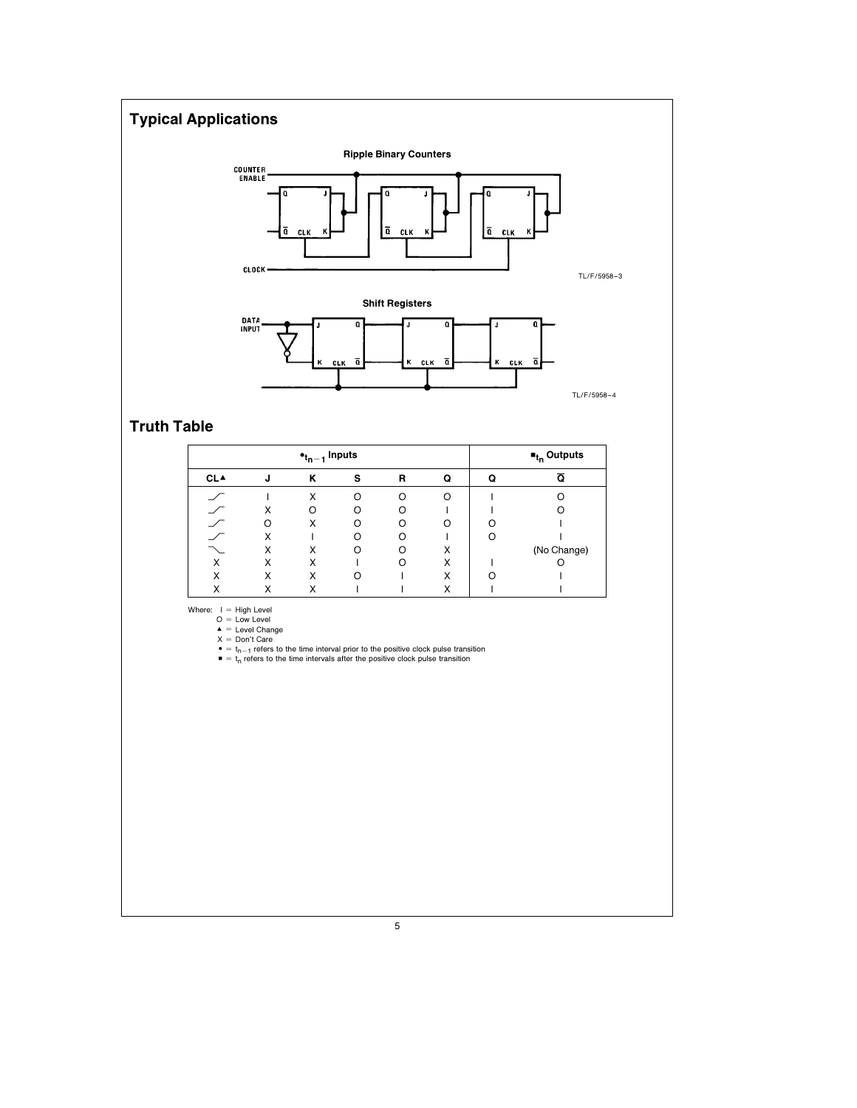# Typical Applications



TL/F/5958 –4

## Truth Table

| $\bullet_{t_{n-1}}$ Inputs |   |   |   |   |   |   | $\blacksquare_{t_0}$ Outputs |  |  |
|----------------------------|---|---|---|---|---|---|------------------------------|--|--|
| <b>CLA</b>                 | J | κ | s | R | Q | Q | Q                            |  |  |
|                            |   | Χ | ∩ | ∩ | Ω |   |                              |  |  |
|                            | X | ∩ |   | ∩ |   |   |                              |  |  |
|                            | ∩ | Χ |   |   | റ |   |                              |  |  |
|                            | Χ |   |   |   |   |   |                              |  |  |
|                            | Χ | Χ | ∩ |   | X |   | (No Change)                  |  |  |
| x                          | X | Χ |   |   | X |   |                              |  |  |
| X                          | X | Χ | ∩ |   | X |   |                              |  |  |
| ◡                          | Χ | X |   |   | X |   |                              |  |  |

Where:  $1 =$  High Level<br>  $Q =$  Level Change<br>  $X =$  Level Change<br>  $X =$  Don't Care<br>  $\bullet =$   $t_n - 1$  refers to the time interval prior to the positive clock pulse transition<br>  $\bullet =$   $t_n$  refers to the time intervals after the posi